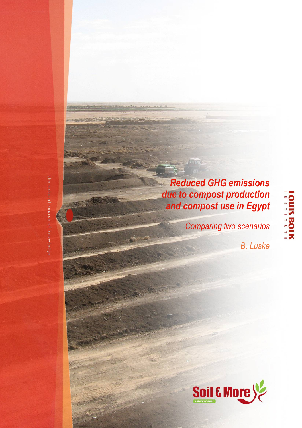Reduced GHG emissions due to compost production and compost use in Egypt

Comparing two scenarios

B. Luske

**LOUIS BOLK** 

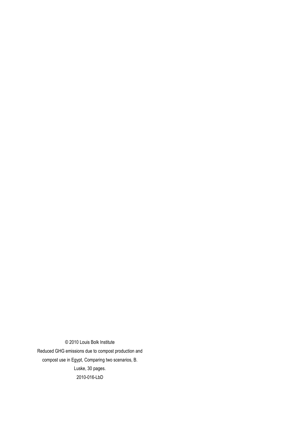© 2010 Louis Bolk Institute Reduced GHG emissions due to compost production and compost use in Egypt, Comparing two scenarios, B. Luske, 30 pages. 2010-016-LbD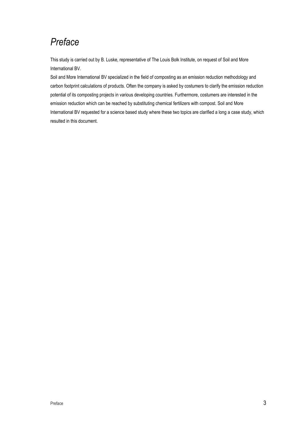# Preface

This study is carried out by B. Luske, representative of The Louis Bolk Institute, on request of Soil and More International BV.

Soil and More International BV specialized in the field of composting as an emission reduction methodology and carbon footprint calculations of products. Often the company is asked by costumers to clarify the emission reduction potential of its composting projects in various developing countries. Furthermore, costumers are interested in the emission reduction which can be reached by substituting chemical fertilizers with compost. Soil and More International BV requested for a science based study where these two topics are clarified a long a case study, which resulted in this document.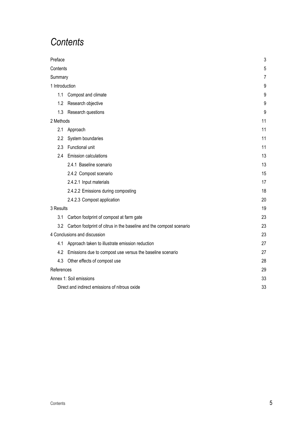# **Contents**

| Preface        |                                                                     | $\sqrt{3}$ |
|----------------|---------------------------------------------------------------------|------------|
| Contents       |                                                                     | 5          |
| Summary        |                                                                     | 7          |
| 1 Introduction |                                                                     | 9          |
| 1.1            | Compost and climate                                                 | 9          |
| 1.2            | Research objective                                                  | 9          |
| 1.3            | Research questions                                                  | 9          |
| 2 Methods      |                                                                     | 11         |
| 2.1            | Approach                                                            | 11         |
| 2.2            | System boundaries                                                   | 11         |
| 2.3            | Functional unit                                                     | 11         |
| 2.4            | <b>Emission calculations</b>                                        | 13         |
|                | 2.4.1 Baseline scenario                                             | 13         |
|                | 2.4.2 Compost scenario                                              | 15         |
|                | 2.4.2.1 Input materials                                             | 17         |
|                | 2.4.2.2 Emissions during composting                                 | 18         |
|                | 2.4.2.3 Compost application                                         | 20         |
| 3 Results      |                                                                     | 19         |
| 3.1            | Carbon footprint of compost at farm gate                            | 23         |
| 3.2            | Carbon footprint of citrus in the baseline and the compost scenario | 23         |
|                | 4 Conclusions and discussion                                        | 23         |
| 4.1            | Approach taken to illustrate emission reduction                     | 27         |
| 4.2            | Emissions due to compost use versus the baseline scenario           | 27         |
| 4.3            | Other effects of compost use                                        | 28         |
| References     |                                                                     | 29         |
|                | Annex 1: Soil emissions                                             | 33         |
|                | Direct and indirect emissions of nitrous oxide                      | 33         |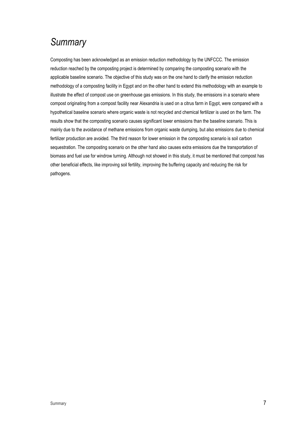# **Summary**

Composting has been acknowledged as an emission reduction methodology by the UNFCCC. The emission reduction reached by the composting project is determined by comparing the composting scenario with the applicable baseline scenario. The objective of this study was on the one hand to clarify the emission reduction methodology of a composting facility in Egypt and on the other hand to extend this methodology with an example to illustrate the effect of compost use on greenhouse gas emissions. In this study, the emissions in a scenario where compost originating from a compost facility near Alexandria is used on a citrus farm in Egypt, were compared with a hypothetical baseline scenario where organic waste is not recycled and chemical fertilizer is used on the farm. The results show that the composting scenario causes significant lower emissions than the baseline scenario. This is mainly due to the avoidance of methane emissions from organic waste dumping, but also emissions due to chemical fertilizer production are avoided. The third reason for lower emission in the composting scenario is soil carbon sequestration. The composting scenario on the other hand also causes extra emissions due the transportation of biomass and fuel use for windrow turning. Although not showed in this study, it must be mentioned that compost has other beneficial effects, like improving soil fertility, improving the buffering capacity and reducing the risk for pathogens.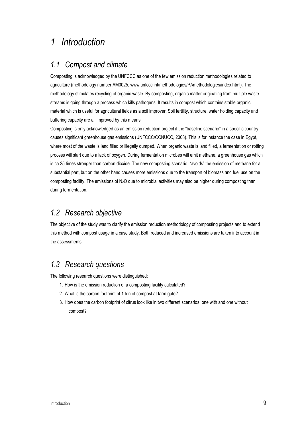## 1 Introduction

### 1.1 Compost and climate

Composting is acknowledged by the UNFCCC as one of the few emission reduction methodologies related to agriculture (methodology number AM0025, www.unfccc.int/methodologies/PAmethodologies/index.html). The methodology stimulates recycling of organic waste. By composting, organic matter originating from multiple waste streams is going through a process which kills pathogens. It results in compost which contains stable organic material which is useful for agricultural fields as a soil improver. Soil fertility, structure, water holding capacity and buffering capacity are all improved by this means.

Composting is only acknowledged as an emission reduction project if the "baseline scenario" in a specific country causes significant greenhouse gas emissions (UNFCCC/CCNUCC, 2008). This is for instance the case in Egypt, where most of the waste is land filled or illegally dumped. When organic waste is land filled, a fermentation or rotting process will start due to a lack of oxygen. During fermentation microbes will emit methane, a greenhouse gas which is ca 25 times stronger than carbon dioxide. The new composting scenario, "avoids" the emission of methane for a substantial part, but on the other hand causes more emissions due to the transport of biomass and fuel use on the composting facility. The emissions of N<sub>2</sub>O due to microbial activities may also be higher during composting than during fermentation.

### 1.2 Research objective

The objective of the study was to clarify the emission reduction methodology of composting projects and to extend this method with compost usage in a case study. Both reduced and increased emissions are taken into account in the assessments.

## 1.3 Research questions

The following research questions were distinguished:

- 1. How is the emission reduction of a composting facility calculated?
- 2. What is the carbon footprint of 1 ton of compost at farm gate?
- 3. How does the carbon footprint of citrus look like in two different scenarios: one with and one without compost?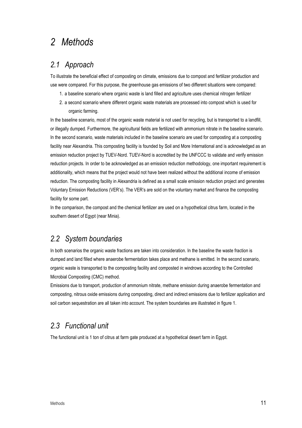# 2 Methods

### 2.1 Approach

To illustrate the beneficial effect of composting on climate, emissions due to compost and fertilizer production and use were compared. For this purpose, the greenhouse gas emissions of two different situations were compared:

- 1. a baseline scenario where organic waste is land filled and agriculture uses chemical nitrogen fertilizer
- 2. a second scenario where different organic waste materials are processed into compost which is used for organic farming.

In the baseline scenario, most of the organic waste material is not used for recycling, but is transported to a landfill, or illegally dumped. Furthermore, the agricultural fields are fertilized with ammonium nitrate in the baseline scenario. In the second scenario, waste materials included in the baseline scenario are used for composting at a composting facility near Alexandria. This composting facility is founded by Soil and More International and is acknowledged as an emission reduction project by TUEV-Nord. TUEV-Nord is accredited by the UNFCCC to validate and verify emission reduction projects. In order to be acknowledged as an emission reduction methodology, one important requirement is additionality, which means that the project would not have been realized without the additional income of emission reduction. The composting facility in Alexandria is defined as a small scale emission reduction project and generates Voluntary Emission Reductions (VER's). The VER's are sold on the voluntary market and finance the composting facility for some part.

In the comparison, the compost and the chemical fertilizer are used on a hypothetical citrus farm, located in the southern desert of Egypt (near Minia).

### 2.2 System boundaries

In both scenarios the organic waste fractions are taken into consideration. In the baseline the waste fraction is dumped and land filled where anaerobe fermentation takes place and methane is emitted. In the second scenario, organic waste is transported to the composting facility and composted in windrows according to the Controlled Microbial Composting (CMC) method.

Emissions due to transport, production of ammonium nitrate, methane emission during anaerobe fermentation and composting, nitrous oxide emissions during composting, direct and indirect emissions due to fertilizer application and soil carbon sequestration are all taken into account. The system boundaries are illustrated in figure 1.

## 2.3 Functional unit

The functional unit is 1 ton of citrus at farm gate produced at a hypothetical desert farm in Egypt.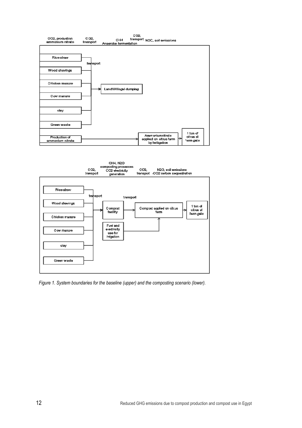



Figure 1. System boundaries for the baseline (upper) and the composting scenario (lower).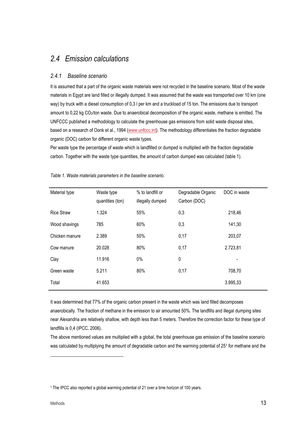## 2.4 Emission calculations

#### 2.4.1 Baseline scenario

It is assumed that a part of the organic waste materials were not recycled in the baseline scenario. Most of the waste materials in Egypt are land filled or illegally dumped. It was assumed that the waste was transported over 10 km (one way) by truck with a diesel consumption of 0,3 l per km and a truckload of 15 ton. The emissions due to transport amount to 0,22 kg CO2/ton waste. Due to anaerobical decomposition of the organic waste, methane is emitted. The UNFCCC published a methodology to calculate the greenhouse gas emissions from solid waste disposal sites, based on a research of Oonk et al., 1994 (www.unfccc.int). The methodology differentiates the fraction degradable organic (DOC) carbon for different organic waste types.

Per waste type the percentage of waste which is landfilled or dumped is multiplied with the fraction degradable carbon. Together with the waste type quantities, the amount of carbon dumped was calculated (table 1).

| Material type     | Waste type<br>quantities (ton) | % to landfill or<br>illegally dumped | Degradable Organic<br>Carbon (DOC) | DOC in waste |
|-------------------|--------------------------------|--------------------------------------|------------------------------------|--------------|
| <b>Rice Straw</b> | 1.324                          | 55%                                  | 0,3                                | 218,46       |
| Wood shavings     | 785                            | 60%                                  | 0,3                                | 141,30       |
| Chicken manure    | 2.389                          | 50%                                  | 0,17                               | 203,07       |
| Cow manure        | 20.028                         | 80%                                  | 0,17                               | 2.723,81     |
| Clay              | 11.916                         | 0%                                   | 0                                  |              |
| Green waste       | 5.211                          | 80%                                  | 0,17                               | 708,70       |
| Total             | 41.653                         |                                      |                                    | 3.995,33     |

Table 1. Waste materials parameters in the baseline scenario.

It was determined that 77% of the organic carbon present in the waste which was land filled decomposes anaerobically. The fraction of methane in the emission to air amounted 50%. The landfills and illegal dumping sites near Alexandria are relatively shallow, with depth less than 5 meters. Therefore the correction factor for these type of landfills is 0,4 (IPCC, 2006).

The above mentioned values are multiplied with a global, the total greenhouse gas emission of the baseline scenario was calculated by multiplying the amount of degradable carbon and the warming potential of 251 for methane and the

 $\overline{a}$ 

<sup>1</sup> The IPCC also reported a global warming potential of 21 over a time horizon of 100 years.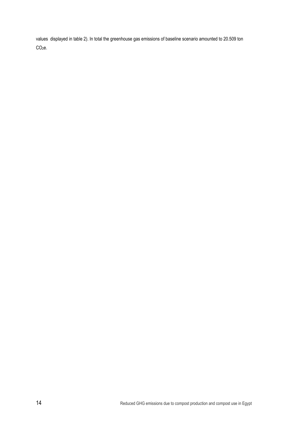values displayed in table 2). In total the greenhouse gas emissions of baseline scenario amounted to 20.509 ton CO<sub>2</sub>e.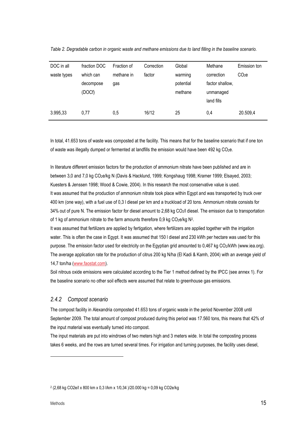| DOC in all  | fraction DOC | Fraction of | Correction | Global    | Methane         | Emission ton      |
|-------------|--------------|-------------|------------|-----------|-----------------|-------------------|
| waste types | which can    | methane in  | factor     | warming   | correction      | CO <sub>2</sub> e |
|             | decompose    | gas         |            | potential | factor shallow, |                   |
|             | (DOCf)       |             |            | methane   | unmanaged       |                   |
|             |              |             |            |           | land fills      |                   |
| 3.995,33    | 0.77         | 0,5         | 16/12      | 25        | 0,4             | 20.509,4          |

Table 2. Degradable carbon in organic waste and methane emissions due to land filling in the baseline scenario.

In total, 41.653 tons of waste was composted at the facility. This means that for the baseline scenario that if one ton of waste was illegally dumped or fermented at landfills the emission would have been 492 kg CO2e.

In literature different emission factors for the production of ammonium nitrate have been published and are in between 3,0 and 7,0 kg CO2e/kg N (Davis & Hacklund, 1999; Kongshaug 1998; Kramer 1999; Elsayed, 2003; Kuesters & Jenssen 1998; Wood & Cowie, 2004). In this research the most conservative value is used. It was assumed that the production of ammonium nitrate took place within Egypt and was transported by truck over 400 km (one way), with a fuel use of 0,3 l diesel per km and a truckload of 20 tons. Ammonium nitrate consists for 34% out of pure N. The emission factor for diesel amount to 2,68 kg CO2/l diesel. The emission due to transportation of 1 kg of ammonium nitrate to the farm amounts therefore 0,9 kg CO<sub>2</sub>e/kg N<sup>2</sup>.

It was assumed that fertilizers are applied by fertigation, where fertilizers are applied together with the irrigation water. This is often the case in Egypt. It was assumed that 150 l diesel and 230 kWh per hectare was used for this purpose. The emission factor used for electricity on the Egyptian grid amounted to 0,467 kg CO<sub>2</sub>/kWh (www.iea.org). The average application rate for the production of citrus 200 kg N/ha (El Kadi & Kamh, 2004) with an average yield of 14,7 ton/ha (www.faostat.com).

Soil nitrous oxide emissions were calculated according to the Tier 1 method defined by the IPCC (see annex 1). For the baseline scenario no other soil effects were assumed that relate to greenhouse gas emissions.

#### 2.4.2 Compost scenario

The compost facility in Alexandria composted 41.653 tons of organic waste in the period November 2008 until September 2009. The total amount of compost produced during this period was 17.560 tons, this means that 42% of the input material was eventually turned into compost.

The input materials are put into windrows of two meters high and 3 meters wide. In total the composting process takes 6 weeks, and the rows are turned several times. For irrigation and turning purposes, the facility uses diesel,

 $\overline{a}$ 

<sup>2</sup> (2,68 kg CO2e/l x 800 km x 0,3 l/km x 1/0,34 )/20.000 kg = 0,09 kg CO2e/kg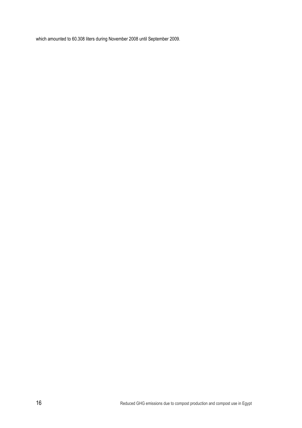which amounted to 60.308 liters during November 2008 until September 2009.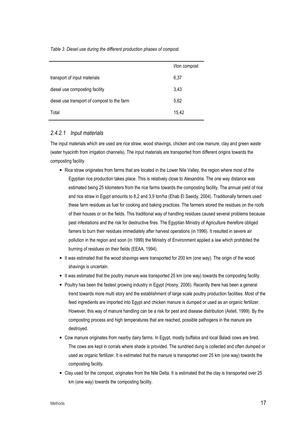Table 3. Diesel use during the different production phases of compost.

|                                             | l/ton compost |
|---------------------------------------------|---------------|
| transport of input materials                | 6,37          |
| diesel use composting facility              | 3,43          |
| diesel use transport of compost to the farm | 5,62          |
| Total                                       | 15,42         |

#### 2.4.2.1 Input materials

The input materials which are used are rice straw, wood shavings, chicken and cow manure, clay and green waste (water hyacinth from irrigation channels). The input materials are transported from different origins towards the composting facility.

- Rice straw originates from farms that are located in the Lower Nile Valley, the region where most of the Egyptian rice production takes place. This is relatively close to Alexandria. The one way distance was estimated being 25 kilometers from the rice farms towards the composting facility. The annual yield of rice and rice straw in Egypt amounts to 8,2 and 3,9 ton/ha (Ehab El Saeidy, 2004). Traditionally farmers used these farm residues as fuel for cooking and baking practices. The farmers stored the residues on the roofs of their houses or on the fields. This traditional way of handling residues caused several problems because pest infestations and the risk for destructive fires. The Egyptian Ministry of Agriculture therefore obliged famers to burn their residues immediately after harvest operations (in 1996). It resulted in severe air pollution in the region and soon (in 1999) the Ministry of Environment applied a law which prohibited the burning of residues on their fields (EEAA, 1994).
- It was estimated that the wood shavings were transported for 200 km (one way). The origin of the wood shavings is uncertain.
- It was estimated that the poultry manure was transported 25 km (one way) towards the composting facility.
- Poultry has been the fastest growing industry in Egypt (Hosny, 2006). Recently there has been a general trend towards more multi story and the establishment of large scale poultry production facilities. Most of the feed ingredients are imported into Egypt and chicken manure is dumped or used as an organic fertilizer. However, this way of manure handling can be a risk for pest and disease distribution (Axtell, 1999). By the composting process and high temperatures that are reached, possible pathogens in the manure are destroyed.
- Cow manure originates from nearby dairy farms. In Egypt, mostly buffalos and local Baladi cows are bred. The cows are kept in corrals where shade is provided. The sundried dung is collected and often dumped or used as organic fertilizer. It is estimated that the manure is transported over 25 km (one way) towards the composting facility.
- Clay used for the compost, originates from the Nile Delta. It is estimated that the clay is transported over 25 km (one way) towards the composting facility.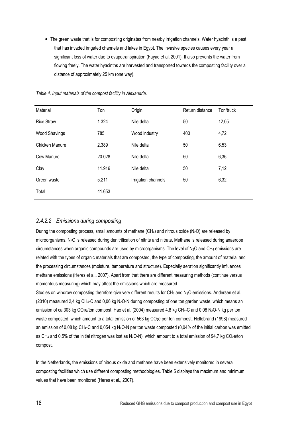• The green waste that is for composting originates from nearby irrigation channels. Water hyacinth is a pest that has invaded irrigated channels and lakes in Egypt. The invasive species causes every year a significant loss of water due to evapotranspiration (Fayad et al, 2001). It also prevents the water from flowing freely. The water hyacinths are harvested and transported towards the composting facility over a distance of approximately 25 km (one way).

| Material              | Ton    | Origin              | Return distance | Ton/truck |
|-----------------------|--------|---------------------|-----------------|-----------|
| <b>Rice Straw</b>     | 1.324  | Nile delta          | 50              | 12,05     |
| <b>Wood Shavings</b>  | 785    | Wood industry       | 400             | 4,72      |
| <b>Chicken Manure</b> | 2.389  | Nile delta          | 50              | 6,53      |
| Cow Manure            | 20.028 | Nile delta          | 50              | 6,36      |
| Clay                  | 11.916 | Nile delta          | 50              | 7,12      |
| Green waste           | 5.211  | Irrigation channels | 50              | 6,32      |
| Total                 | 41.653 |                     |                 |           |

Table 4. Input materials of the compost facility in Alexandria.

#### 2.4.2.2 Emissions during composting

During the composting process, small amounts of methane  $(CH_4)$  and nitrous oxide  $(N_2O)$  are released by microorganisms. N2O is released during denitrification of nitrite and nitrate. Methane is released during anaerobe circumstances when organic compounds are used by microorganisms. The level of  $N_2O$  and CH<sub>4</sub> emissions are related with the types of organic materials that are composted, the type of composting, the amount of material and the processing circumstances (moisture, temperature and structure). Especially aeration significantly influences methane emissions (Heres et al., 2007). Apart from that there are different measuring methods (continue versus momentous measuring) which may affect the emissions which are measured.

Studies on windrow composting therefore give very different results for CH<sub>4</sub> and N<sub>2</sub>O emissions. Andersen et al. (2010) measured 2,4 kg CH<sub>4</sub>-C and 0,06 kg N<sub>2</sub>O-N during composting of one ton garden waste, which means an emission of ca 303 kg CO2e/ton compost. Hao et al. (2004) measured 4,8 kg CH4-C and 0,08 N2O-N kg per ton waste composted, which amount to a total emission of 563 kg CO2e per ton compost. Hellebrand (1998) measured an emission of 0,08 kg CH<sub>4</sub>-C and 0,054 kg N<sub>2</sub>O-N per ton waste composted (0,04% of the initial carbon was emitted as CH<sub>4</sub> and 0,5% of the initial nitrogen was lost as N<sub>2</sub>O-N), which amount to a total emission of 94,7 kg CO<sub>2</sub>e/ton compost.

In the Netherlands, the emissions of nitrous oxide and methane have been extensively monitored in several composting facilities which use different composting methodologies. Table 5 displays the maximum and minimum values that have been monitored (Heres et al., 2007).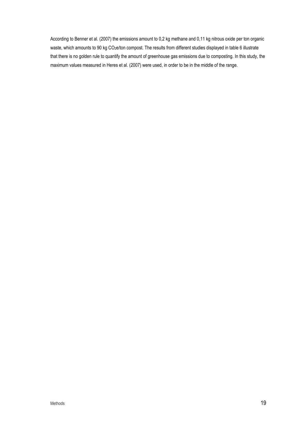According to Benner et al. (2007) the emissions amount to 0,2 kg methane and 0,11 kg nitrous oxide per ton organic waste, which amounts to 90 kg CO<sub>2</sub>e/ton compost. The results from different studies displayed in table 6 illustrate that there is no golden rule to quantify the amount of greenhouse gas emissions due to composting. In this study, the maximum values measured in Heres et al. (2007) were used, in order to be in the middle of the range.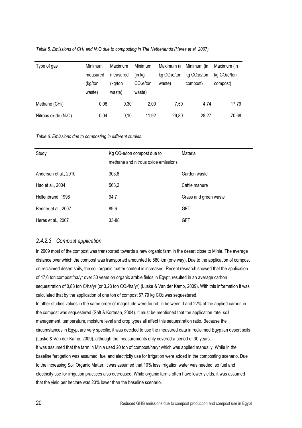| Table 5. Emissions of $CH_4$ and $N_2O$ due to composting in The Netherlands (Heres et al, 2007). |  |  |
|---------------------------------------------------------------------------------------------------|--|--|
|---------------------------------------------------------------------------------------------------|--|--|

| Type of gas            | <b>Minimum</b><br>measured<br>(kg/ton<br>waste) | Maximum<br>measured<br>(kg/ton<br>waste) | <b>Minimum</b><br>(in kg<br>CO <sub>2</sub> e/ton<br>waste) | Maximum (in Minimum (in<br>$kq$ CO <sub>2</sub> e/ton<br>waste) | kg CO <sub>2</sub> e/ton<br>compost) | Maximum (in<br>kq CO <sub>2</sub> e/ton<br>compost) |
|------------------------|-------------------------------------------------|------------------------------------------|-------------------------------------------------------------|-----------------------------------------------------------------|--------------------------------------|-----------------------------------------------------|
| Methane $(CH4)$        | 0,08                                            | 0,30                                     | 2.00                                                        | 7.50                                                            | 4.74                                 | 17,79                                               |
| Nitrous oxide $(N_2O)$ | 0.04                                            | 0.10                                     | 11,92                                                       | 29,80                                                           | 28,27                                | 70,68                                               |

Table 6. Emissions due to composting in different studies.

| Study                 | Kg CO <sub>2</sub> e/ton compost due to<br>methane and nitrous oxide emissions | Material              |
|-----------------------|--------------------------------------------------------------------------------|-----------------------|
| Andersen et al., 2010 | 303,8                                                                          | Garden waste          |
| Hao et al., 2004      | 563,2                                                                          | Cattle manure         |
| Hellenbrand, 1998     | 94,7                                                                           | Grass and green waste |
| Benner et al., 2007   | 89,6                                                                           | <b>GFT</b>            |
| Heres et al., 2007    | 33-88                                                                          | <b>GFT</b>            |

#### 2.4.2.3 Compost application

In 2009 most of the compost was transported towards a new organic farm in the desert close to Minia. The average distance over which the compost was transported amounted to 880 km (one way). Due to the application of compost on reclaimed desert soils, the soil organic matter content is increased. Recent research showed that the application of 47,6 ton compost/ha/yr over 30 years on organic arable fields in Egypt, resulted in an average carbon sequestration of 0,88 ton C/ha/yr (or 3,23 ton CO<sub>2</sub>/ha/yr) (Luske & Van der Kamp, 2009). With this information it was calculated that by the application of one ton of compost  $67,79$  kg  $CO<sub>2</sub>$  was sequestered. In other studies values in the same order of magnitude were found; in between 0 and 22% of the applied carbon in the compost was sequestered (Saft & Kortman, 2004). It must be mentioned that the application rate, soil management, temperature, moisture level and crop types all affect this sequestration ratio. Because the circumstances in Egypt are very specific, it was decided to use the measured data in reclaimed Egyptian desert soils (Luske & Van der Kamp, 2009), although the measurements only covered a period of 30 years. It was assumed that the farm in Minia used 20 ton of compost/ha/yr which was applied manually. While in the baseline fertigation was assumed, fuel and electricity use for irrigation were added in the composting scenario. Due to the increasing Soil Organic Matter, it was assumed that 10% less irrigation water was needed, so fuel and electricity use for irrigation practices also decreased. While organic farms often have lower yields, it was assumed that the yield per hectare was 20% lower than the baseline scenario.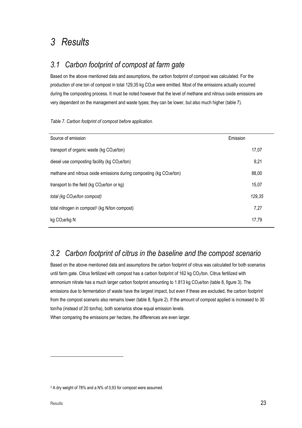# 3 Results

## 3.1 Carbon footprint of compost at farm gate

Based on the above mentioned data and assumptions, the carbon footprint of compost was calculated. For the production of one ton of compost in total 129,35 kg CO2e were emitted. Most of the emissions actually occurred during the composting process. It must be noted however that the level of methane and nitrous oxide emissions are very dependent on the management and waste types; they can be lower, but also much higher (table 7).

|  |  | Table 7. Carbon footprint of compost before application. |  |
|--|--|----------------------------------------------------------|--|
|  |  |                                                          |  |

| Source of emission                                                  | Emission |
|---------------------------------------------------------------------|----------|
| transport of organic waste (kg CO2e/ton)                            | 17,07    |
| diesel use composting facility (kg CO2e/ton)                        | 9,21     |
| methane and nitrous oxide emissions during composting (kg CO2e/ton) | 88,00    |
| transport to the field (kg $CO2e/ton$ or kg)                        | 15,07    |
| total (kg CO <sub>2</sub> e/ton compost)                            | 129,35   |
| total nitrogen in compost <sup>3</sup> (kg N/ton compost)           | 7,27     |
| kg CO <sub>2</sub> e/kg N                                           | 17,79    |

## 3.2 Carbon footprint of citrus in the baseline and the compost scenario

Based on the above mentioned data and assumptions the carbon footprint of citrus was calculated for both scenarios until farm gate. Citrus fertilized with compost has a carbon footprint of 162 kg CO2/ton. Citrus fertilized with ammonium nitrate has a much larger carbon footprint amounting to 1.813 kg CO<sub>2</sub>e/ton (table 8, figure 3). The emissions due to fermentation of waste have the largest impact, but even if these are excluded, the carbon footprint from the compost scenario also remains lower (table 8, figure 2). If the amount of compost applied is increased to 30 ton/ha (instead of 20 ton/ha), both scenarios show equal emission levels.

When comparing the emissions per hectare, the differences are even larger.

 $\overline{a}$ 

<sup>3</sup> A dry weight of 78% and a N% of 0,93 for compost were assumed.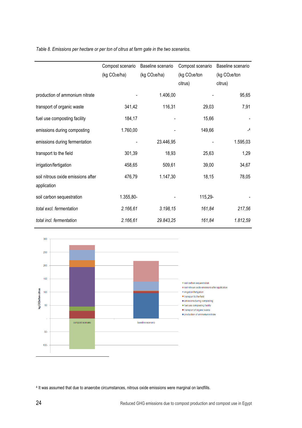Table 8. Emissions per hectare or per ton of citrus at farm gate in the two scenarios.

|                                    | Compost scenario          | Baseline scenario         | Compost scenario          | Baseline scenario         |
|------------------------------------|---------------------------|---------------------------|---------------------------|---------------------------|
|                                    | (kg CO <sub>2</sub> e/ha) | (kg CO <sub>2</sub> e/ha) | (kg CO <sub>2</sub> e/ton | (kg CO <sub>2</sub> e/ton |
|                                    |                           |                           | citrus)                   | citrus)                   |
| production of ammonium nitrate     |                           | 1.406,00                  |                           | 95,65                     |
| transport of organic waste         | 341,42                    | 116,31                    | 29,03                     | 7,91                      |
| fuel use composting facility       | 184,17                    |                           | 15,66                     |                           |
| emissions during composting        | 1.760,00                  |                           | 149,66                    | $-4$                      |
| emissions during fermentation      |                           | 23.446,95                 |                           | 1.595,03                  |
| transport to the field             | 301,39                    | 18,93                     | 25,63                     | 1,29                      |
| irrigation/fertigation             | 458,65                    | 509,61                    | 39,00                     | 34,67                     |
| soil nitrous oxide emissions after | 476,79                    | 1.147,30                  | 18,15                     | 78,05                     |
| application                        |                           |                           |                           |                           |
| soil carbon sequestration          | 1.355,80-                 |                           | 115,29-                   |                           |
| total excl. fermentation           | 2.166,61                  | 3.198,15                  | 161,84                    | 217,56                    |
| total incl. fermentation           | 2.166,61                  | 29.843,25                 | 161,84                    | 1.812,59                  |



4 It was assumed that due to anaerobe circumstances, nitrous oxide emissions were marginal on landfills.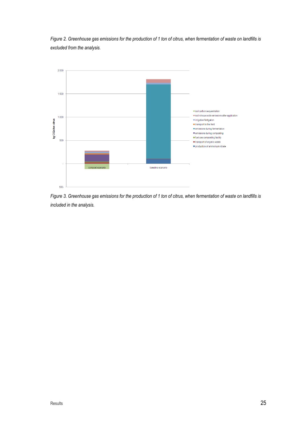Figure 2. Greenhouse gas emissions for the production of 1 ton of citrus, when fermentation of waste on landfills is excluded from the analysis.



Figure 3. Greenhouse gas emissions for the production of 1 ton of citrus, when fermentation of waste on landfills is included in the analysis.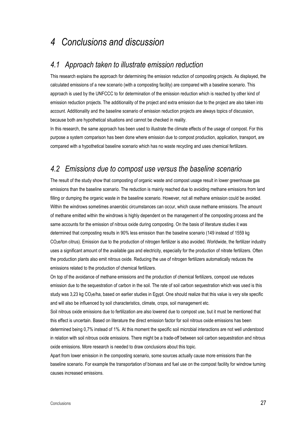## 4 Conclusions and discussion

### 4.1 Approach taken to illustrate emission reduction

This research explains the approach for determining the emission reduction of composting projects. As displayed, the calculated emissions of a new scenario (with a composting facility) are compared with a baseline scenario. This approach is used by the UNFCCC to for determination of the emission reduction which is reached by other kind of emission reduction projects. The additionality of the project and extra emission due to the project are also taken into account. Additionality and the baseline scenario of emission reduction projects are always topics of discussion, because both are hypothetical situations and cannot be checked in reality.

In this research, the same approach has been used to illustrate the climate effects of the usage of compost. For this purpose a system comparison has been done where emission due to compost production, application, transport, are compared with a hypothetical baseline scenario which has no waste recycling and uses chemical fertilizers.

### 4.2 Emissions due to compost use versus the baseline scenario

The result of the study show that composting of organic waste and compost usage result in lower greenhouse gas emissions than the baseline scenario. The reduction is mainly reached due to avoiding methane emissions from land filling or dumping the organic waste in the baseline scenario. However, not all methane emission could be avoided. Within the windrows sometimes anaerobic circumstances can occur, which cause methane emissions. The amount of methane emitted within the windrows is highly dependent on the management of the composting process and the same accounts for the emission of nitrous oxide during composting. On the basis of literature studies it was determined that composting results in 90% less emission than the baseline scenario (149 instead of 1559 kg CO<sub>2</sub>e/ton citrus). Emission due to the production of nitrogen fertilizer is also avoided. Worldwide, the fertilizer industry uses a significant amount of the available gas and electricity, especially for the production of nitrate fertilizers. Often the production plants also emit nitrous oxide. Reducing the use of nitrogen fertilizers automatically reduces the emissions related to the production of chemical fertilizers.

On top of the avoidance of methane emissions and the production of chemical fertilizers, compost use reduces emission due to the sequestration of carbon in the soil. The rate of soil carbon sequestration which was used is this study was 3,23 kg CO<sub>2</sub>e/ha, based on earlier studies in Egypt. One should realize that this value is very site specific and will also be influenced by soil characteristics, climate, crops, soil management etc.

Soil nitrous oxide emissions due to fertilization are also lowered due to compost use, but it must be mentioned that this effect is uncertain. Based on literature the direct emission factor for soil nitrous oxide emissions has been determined being 0,7% instead of 1%. At this moment the specific soil microbial interactions are not well understood in relation with soil nitrous oxide emissions. There might be a trade-off between soil carbon sequestration and nitrous oxide emissions. More research is needed to draw conclusions about this topic.

Apart from lower emission in the composting scenario, some sources actually cause more emissions than the baseline scenario. For example the transportation of biomass and fuel use on the compost facility for windrow turning causes increased emissions.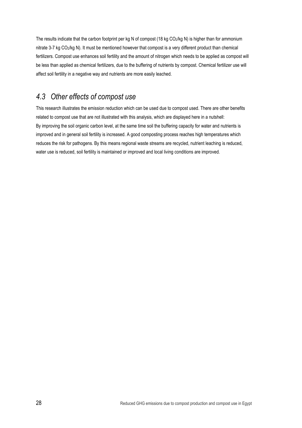The results indicate that the carbon footprint per kg N of compost (18 kg CO2/kg N) is higher than for ammonium nitrate 3-7 kg CO<sub>2</sub>/kg N). It must be mentioned however that compost is a very different product than chemical fertilizers. Compost use enhances soil fertility and the amount of nitrogen which needs to be applied as compost will be less than applied as chemical fertilizers, due to the buffering of nutrients by compost. Chemical fertilizer use will affect soil fertility in a negative way and nutrients are more easily leached.

## 4.3 Other effects of compost use

This research illustrates the emission reduction which can be used due to compost used. There are other benefits related to compost use that are not illustrated with this analysis, which are displayed here in a nutshell: By improving the soil organic carbon level, at the same time soil the buffering capacity for water and nutrients is improved and in general soil fertility is increased. A good composting process reaches high temperatures which reduces the risk for pathogens. By this means regional waste streams are recycled, nutrient leaching is reduced, water use is reduced, soil fertility is maintained or improved and local living conditions are improved.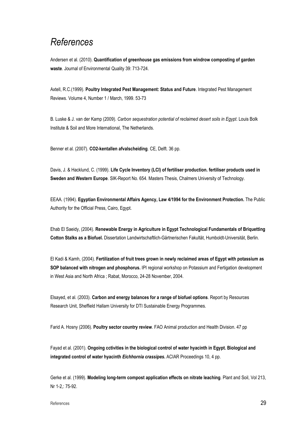# References

Andersen et al. (2010). Quantification of greenhouse gas emissions from windrow composting of garden waste. Journal of Environmental Quality 39: 713-724.

Axtell, R.C.(1999). Poultry Integrated Pest Management: Status and Future. Integrated Pest Management Reviews. Volume 4, Number 1 / March, 1999. 53-73

B. Luske & J. van der Kamp (2009). Carbon sequestration potential of reclaimed desert soils in Egypt. Louis Bolk Institute & Soil and More International, The Netherlands.

Benner et al. (2007). CO2-kentallen afvalscheiding. CE, Delft. 36 pp.

Davis, J. & Hacklund, C. (1999). Life Cycle Inventory (LCI) of fertiliser production. fertiliser products used in Sweden and Western Europe. SIK-Report No. 654. Masters Thesis, Chalmers University of Technology.

EEAA. (1994). Egyptian Environmental Affairs Agency, Law 4/1994 for the Environment Protection. The Public Authority for the Official Press, Cairo, Egypt.

Ehab El Saeidy, (2004). Renewable Energy in Agriculture in Egypt Technological Fundamentals of Briquetting Cotton Stalks as a Biofuel. Dissertation Landwirtschaftlich-Gärtnerischen Fakultät, Humboldt-Universität, Berlin.

El Kadi & Kamh, (2004). Fertilization of fruit trees grown in newly reclaimed areas of Egypt with potassium as SOP balanced with nitrogen and phosphorus. IPI regional workshop on Potassium and Fertigation development in West Asia and North Africa ; Rabat, Morocco, 24-28 November, 2004.

Elsayed, et al. (2003). Carbon and energy balances for a range of biofuel options. Report by Resources Research Unit, Sheffield Hallam University for DTI Sustainable Energy Programmes.

Farid A. Hosny (2006). Poultry sector country review. FAO Animal production and Health Division. 47 pp

Fayad et al. (2001). Ongoing cctivities in the biological control of water hyacinth in Egypt. Biological and integrated control of water hyacinth Eichhornia crassipes. ACIAR Proceedings 10, 4 pp.

Gerke et al. (1999). Modeling long-term compost application effects on nitrate leaching. Plant and Soil, Vol 213, Nr 1-2,: 75-92.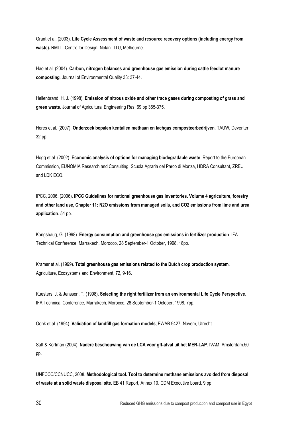Grant et al. (2003). Life Cycle Assessment of waste and resource recovery options (including energy from waste). RMIT -Centre for Design, Nolan\_ ITU, Melbourne.

Hao et al. (2004). Carbon, nitrogen balances and greenhouse gas emission during cattle feedlot manure composting. Journal of Environmental Quality 33: 37-44.

Hellenbrand, H. J. (1998). Emission of nitrous oxide and other trace gases during composting of grass and green waste. Journal of Agricultural Engineering Res. 69 pp 365-375.

Heres et al. (2007). Onderzoek bepalen kentallen methaan en lachgas composteerbedrijven. TAUW, Deventer. 32 pp.

Hogg et al. (2002). Economic analysis of options for managing biodegradable waste. Report to the European Commission, EUNOMIA Research and Consulting, Scuola Agraria del Parco di Monza, HDRA Consultant, ZREU and LDK ECO.

IPCC, 2006. (2006). IPCC Guidelines for national greenhouse gas inventories. Volume 4 agriculture, forestry and other land use, Chapter 11: N2O emissions from managed soils, and CO2 emissions from lime and urea application. 54 pp.

Kongshaug, G. (1998). Energy consumption and greenhouse gas emissions in fertilizer production. IFA Technical Conference, Marrakech, Morocco, 28 September-1 October, 1998, 18pp.

Kramer et al. (1999). Total greenhouse gas emissions related to the Dutch crop production system. Agriculture, Ecosystems and Environment, 72, 9-16.

Kuesters, J. & Jenssen, T. (1998). Selecting the right fertilizer from an environmental Life Cycle Perspective. IFA Technical Conference, Marrakech, Morocco, 28 September-1 October, 1998, 7pp.

Oonk et al. (1994). Validation of landfill gas formation models; EWAB 9427, Novem, Utrecht.

Saft & Kortman (2004). Nadere beschouwing van de LCA voor gft-afval uit het MER-LAP. IVAM, Amsterdam.50 pp.

UNFCCC/CCNUCC, 2008. Methodological tool. Tool to determine methane emissions avoided from disposal of waste at a solid waste disposal site. EB 41 Report, Annex 10. CDM Executive board, 9 pp.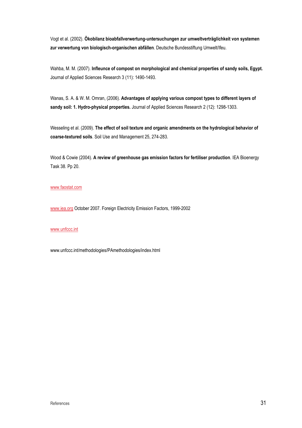Vogt et al. (2002). Ökobilanz bioabfallverwertung-untersuchungen zur umweltverträglichkeit von systemen zur verwertung von biologisch-organischen abfällen. Deutsche Bundesstiftung Umwelt/Ifeu.

Wahba, M. M. (2007). Infleunce of compost on morphological and chemical properties of sandy soils, Egypt. Journal of Applied Sciences Research 3 (11): 1490-1493.

Wanas, S. A. & W. M. Omran, (2006). Advantages of applying various compost types to different layers of sandy soil: 1. Hydro-physical properties. Journal of Applied Sciences Research 2 (12): 1298-1303.

Wesseling et al. (2009). The effect of soil texture and organic amendments on the hydrological behavior of coarse-textured soils. Soil Use and Management 25, 274-283.

Wood & Cowie (2004). A review of greenhouse gas emission factors for fertiliser production. IEA Bioenergy Task 38. Pp 20.

#### www.faostat.com

www.iea.org October 2007. Foreign Electricity Emission Factors, 1999-2002

#### www.unfccc.int

www.unfccc.int/methodologies/PAmethodologies/index.html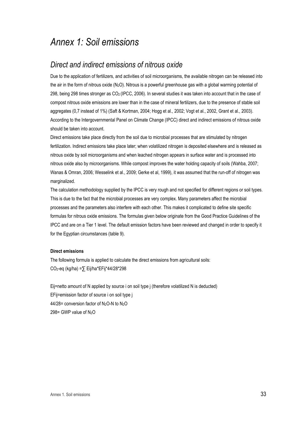## Annex 1: Soil emissions

### Direct and indirect emissions of nitrous oxide

Due to the application of fertilizers, and activities of soil microorganisms, the available nitrogen can be released into the air in the form of nitrous oxide (N2O). Nitrous is a powerful greenhouse gas with a global warming potential of 298, being 298 times stronger as CO2 (IPCC, 2006). In several studies it was taken into account that in the case of compost nitrous oxide emissions are lower than in the case of mineral fertilizers, due to the presence of stable soil aggregates (0,7 instead of 1%) (Saft & Kortman, 2004; Hogg et al., 2002; Vogt et al., 2002, Grant et al., 2003). According to the Intergovernmental Panel on Climate Change (IPCC) direct and indirect emissions of nitrous oxide should be taken into account.

Direct emissions take place directly from the soil due to microbial processes that are stimulated by nitrogen fertilization. Indirect emissions take place later; when volatilized nitrogen is deposited elsewhere and is released as nitrous oxide by soil microorganisms and when leached nitrogen appears in surface water and is processed into nitrous oxide also by microorganisms. While compost improves the water holding capacity of soils (Wahba, 2007; Wanas & Omran, 2006; Wesselink et al., 2009; Gerke et al, 1999), it was assumed that the run-off of nitrogen was marginalized.

The calculation methodology supplied by the IPCC is very rough and not specified for different regions or soil types. This is due to the fact that the microbial processes are very complex. Many parameters affect the microbial processes and the parameters also interfere with each other. This makes it complicated to define site specific formulas for nitrous oxide emissions. The formulas given below originate from the Good Practice Guidelines of the IPCC and are on a Tier 1 level. The default emission factors have been reviewed and changed in order to specify it for the Egyptian circumstances (table 9).

#### Direct emissions

The following formula is applied to calculate the direct emissions from agricultural soils: CO2-eq (kg/ha) =∑ Eij/ha\*EFij\*44/28\*298

Eij=netto amount of N applied by source i on soil type j (therefore volatilized N is deducted) EFij=emission factor of source i on soil type j 44/28= conversion factor of N2O-N to N2O 298= GWP value of N<sub>2</sub>O